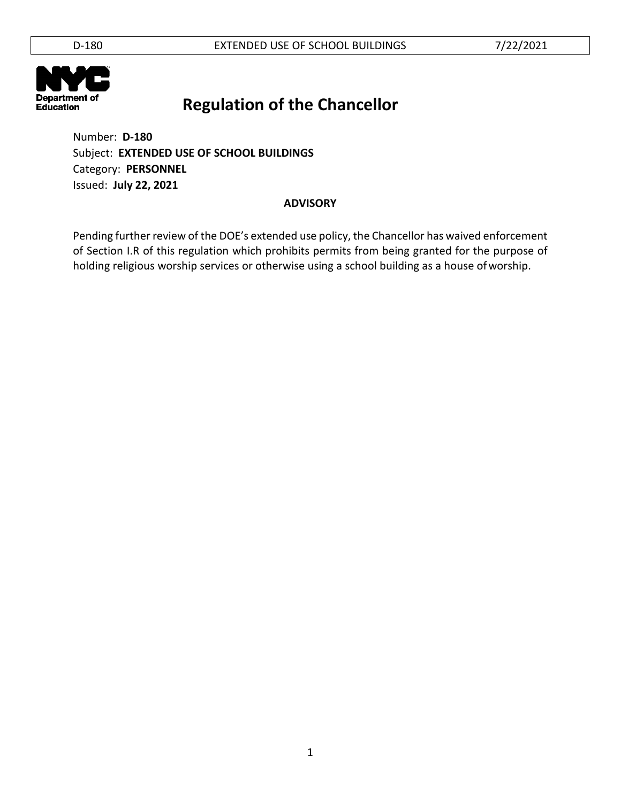

Number: **D-180** Subject: **EXTENDED USE OF SCHOOL BUILDINGS** Category: **PERSONNEL** Issued: **July 22, 2021**

### **ADVISORY**

Pending further review of the DOE's extended use policy, the Chancellor has waived enforcement of Section I.R of this regulation which prohibits permits from being granted for the purpose of holding religious worship services or otherwise using a school building as a house ofworship.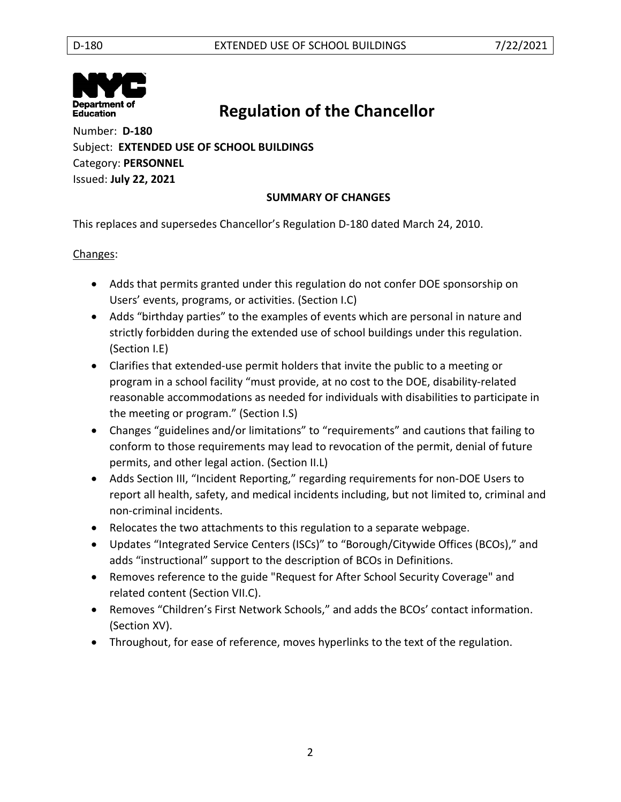

Number: **D-180** Subject: **EXTENDED USE OF SCHOOL BUILDINGS** Category: **PERSONNEL** Issued: **July 22, 2021**

## **SUMMARY OF CHANGES**

This replaces and supersedes Chancellor's Regulation D-180 dated March 24, 2010.

### Changes:

- Adds that permits granted under this regulation do not confer DOE sponsorship on Users' events, programs, or activities. (Section I.C)
- Adds "birthday parties" to the examples of events which are personal in nature and strictly forbidden during the extended use of school buildings under this regulation. (Section I.E)
- Clarifies that extended-use permit holders that invite the public to a meeting or program in a school facility "must provide, at no cost to the DOE, disability-related reasonable accommodations as needed for individuals with disabilities to participate in the meeting or program." (Section I.S)
- Changes "guidelines and/or limitations" to "requirements" and cautions that failing to conform to those requirements may lead to revocation of the permit, denial of future permits, and other legal action. (Section II.L)
- Adds Section III, "Incident Reporting," regarding requirements for non-DOE Users to report all health, safety, and medical incidents including, but not limited to, criminal and non-criminal incidents.
- Relocates the two attachments to this regulation to a separate webpage.
- Updates "Integrated Service Centers (ISCs)" to "Borough/Citywide Offices (BCOs)," and adds "instructional" support to the description of BCOs in Definitions.
- Removes reference to the guide "Request for After School Security Coverage" and related content (Section VII.C).
- Removes "Children's First Network Schools," and adds the BCOs' contact information. (Section XV).
- Throughout, for ease of reference, moves hyperlinks to the text of the regulation.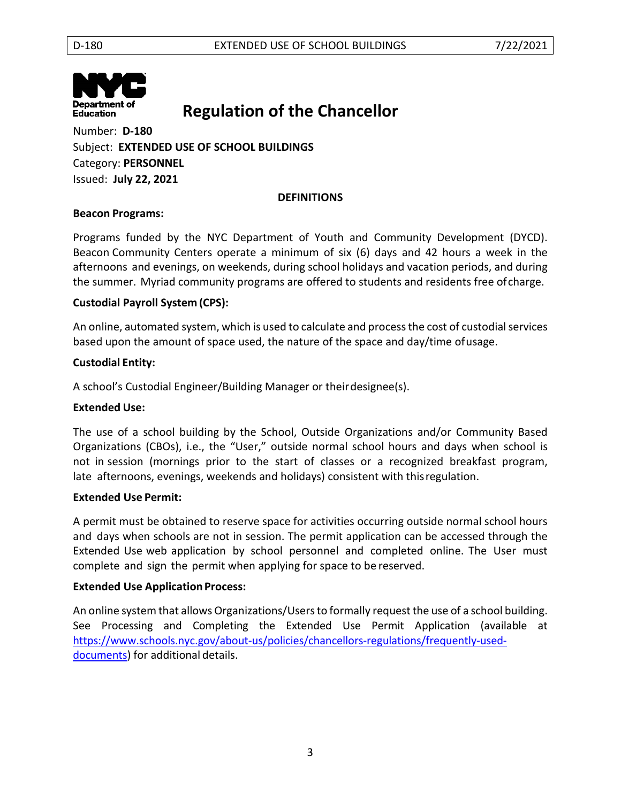

Number: **D-180** Subject: **EXTENDED USE OF SCHOOL BUILDINGS** Category: **PERSONNEL** Issued: **July 22, 2021**

### **DEFINITIONS**

### **Beacon Programs:**

Programs funded by the NYC Department of Youth and Community Development (DYCD). Beacon Community Centers operate a minimum of six (6) days and 42 hours a week in the afternoons and evenings, on weekends, during school holidays and vacation periods, and during the summer. Myriad community programs are offered to students and residents free ofcharge.

### **Custodial Payroll System (CPS):**

An online, automated system, which is used to calculate and process the cost of custodial services based upon the amount of space used, the nature of the space and day/time ofusage.

### **Custodial Entity:**

A school's Custodial Engineer/Building Manager or theirdesignee(s).

#### **Extended Use:**

The use of a school building by the School, Outside Organizations and/or Community Based Organizations (CBOs), i.e., the "User," outside normal school hours and days when school is not in session (mornings prior to the start of classes or a recognized breakfast program, late afternoons, evenings, weekends and holidays) consistent with thisregulation.

#### **Extended Use Permit:**

A permit must be obtained to reserve space for activities occurring outside normal school hours and days when schools are not in session. The permit application can be accessed through the Extended Use web application by school personnel and completed online. The User must complete and sign the permit when applying for space to be reserved.

### **Extended Use Application Process:**

An online system that allows Organizations/Users to formally request the use of a school building. See Processing and Completing the Extended Use Permit Application (available at [https://www.schools.nyc.gov/about-us/policies/chancellors-regulations/frequently-used](https://www.schools.nyc.gov/about-us/policies/chancellors-regulations/frequently-used-documents)[documents\)](https://www.schools.nyc.gov/about-us/policies/chancellors-regulations/frequently-used-documents) for additional details.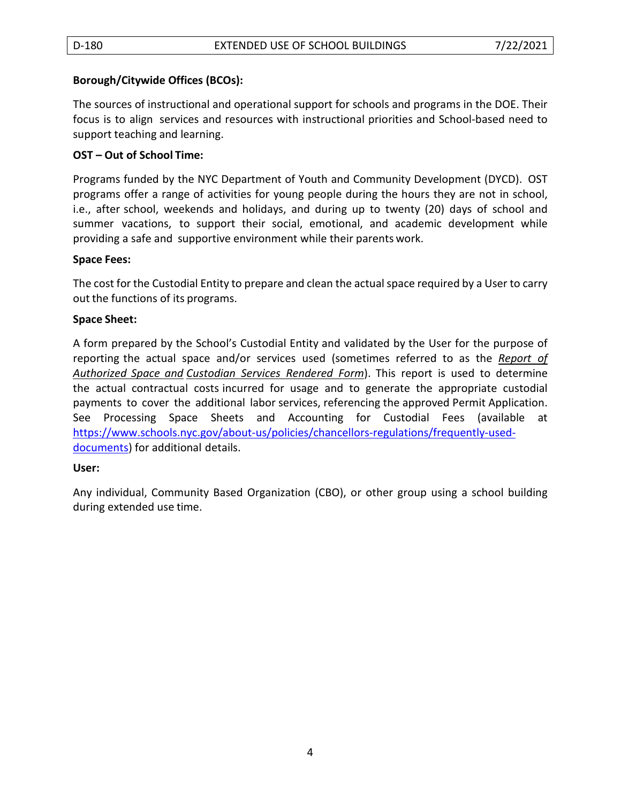### **Borough/Citywide Offices (BCOs):**

The sources of instructional and operational support for schools and programs in the DOE. Their focus is to align services and resources with instructional priorities and School-based need to support teaching and learning.

### **OST – Out of School Time:**

Programs funded by the NYC Department of Youth and Community Development (DYCD). OST programs offer a range of activities for young people during the hours they are not in school, i.e., after school, weekends and holidays, and during up to twenty (20) days of school and summer vacations, to support their social, emotional, and academic development while providing a safe and supportive environment while their parents work.

### **Space Fees:**

The cost for the Custodial Entity to prepare and clean the actual space required by a User to carry out the functions of its programs.

### **Space Sheet:**

A form prepared by the School's Custodial Entity and validated by the User for the purpose of reporting the actual space and/or services used (sometimes referred to as the *Report of Authorized Space and Custodian Services Rendered Form*). This report is used to determine the actual contractual costs incurred for usage and to generate the appropriate custodial payments to cover the additional labor services, referencing the approved Permit Application. See Processing Space Sheets and Accounting for Custodial Fees (available at [https://www.schools.nyc.gov/about-us/policies/chancellors-regulations/frequently-used](https://www.schools.nyc.gov/about-us/policies/chancellors-regulations/frequently-used-documents)[documents\)](https://www.schools.nyc.gov/about-us/policies/chancellors-regulations/frequently-used-documents) for additional details.

### **User:**

Any individual, Community Based Organization (CBO), or other group using a school building during extended use time.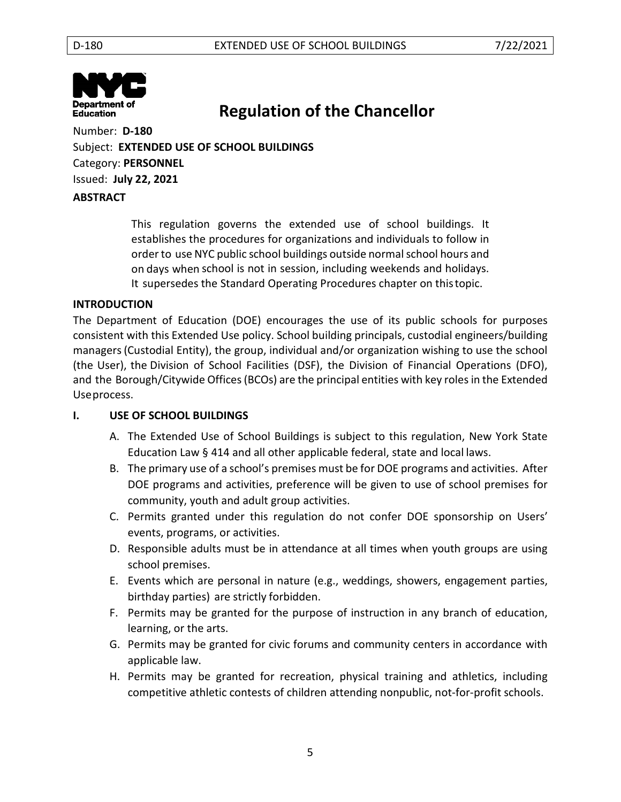

Number: **D-180** Subject: **EXTENDED USE OF SCHOOL BUILDINGS** Category: **PERSONNEL** Issued: **July 22, 2021 ABSTRACT**

> This regulation governs the extended use of school buildings. It establishes the procedures for organizations and individuals to follow in order to use NYC public school buildings outside normal school hours and on days when school is not in session, including weekends and holidays. It supersedes the Standard Operating Procedures chapter on thistopic.

### **INTRODUCTION**

The Department of Education (DOE) encourages the use of its public schools for purposes consistent with this Extended Use policy. School building principals, custodial engineers/building managers(Custodial Entity), the group, individual and/or organization wishing to use the school (the User), the Division of School Facilities (DSF), the Division of Financial Operations (DFO), and the Borough/Citywide Offices (BCOs) are the principal entities with key roles in the Extended Useprocess.

### **I. USE OF SCHOOL BUILDINGS**

- A. The Extended Use of School Buildings is subject to this regulation, New York State Education Law § 414 and all other applicable federal, state and local laws.
- B. The primary use of a school's premises must be for DOE programs and activities. After DOE programs and activities, preference will be given to use of school premises for community, youth and adult group activities.
- C. Permits granted under this regulation do not confer DOE sponsorship on Users' events, programs, or activities.
- D. Responsible adults must be in attendance at all times when youth groups are using school premises.
- E. Events which are personal in nature (e.g., weddings, showers, engagement parties, birthday parties) are strictly forbidden.
- F. Permits may be granted for the purpose of instruction in any branch of education, learning, or the arts.
- G. Permits may be granted for civic forums and community centers in accordance with applicable law.
- H. Permits may be granted for recreation, physical training and athletics, including competitive athletic contests of children attending nonpublic, not-for-profit schools.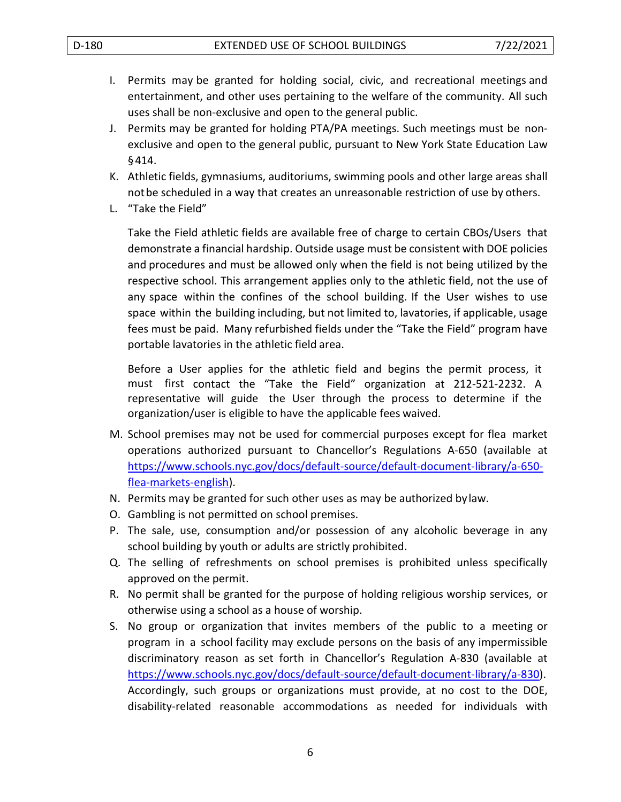- I. Permits may be granted for holding social, civic, and recreational meetings and entertainment, and other uses pertaining to the welfare of the community. All such uses shall be non-exclusive and open to the general public.
- J. Permits may be granted for holding PTA/PA meetings. Such meetings must be nonexclusive and open to the general public, pursuant to New York State Education Law §414.
- K. Athletic fields, gymnasiums, auditoriums, swimming pools and other large areas shall notbe scheduled in a way that creates an unreasonable restriction of use by others.
- L. "Take the Field"

Take the Field athletic fields are available free of charge to certain CBOs/Users that demonstrate a financial hardship. Outside usage must be consistent with DOE policies and procedures and must be allowed only when the field is not being utilized by the respective school. This arrangement applies only to the athletic field, not the use of any space within the confines of the school building. If the User wishes to use space within the building including, but not limited to, lavatories, if applicable, usage fees must be paid. Many refurbished fields under the "Take the Field" program have portable lavatories in the athletic field area.

Before a User applies for the athletic field and begins the permit process, it must first contact the "Take the Field" organization at 212-521-2232. A representative will guide the User through the process to determine if the organization/user is eligible to have the applicable fees waived.

- M. School premises may not be used for commercial purposes except for flea market operations authorized pursuant to Chancellor's Regulations A-650 (available at [https://www.schools.nyc.gov/docs/default-source/default-document-library/a-650](https://www.schools.nyc.gov/docs/default-source/default-document-library/a-650-flea-markets-english) [flea-markets-english\)](https://www.schools.nyc.gov/docs/default-source/default-document-library/a-650-flea-markets-english).
- N. Permits may be granted for such other uses as may be authorized bylaw.
- O. Gambling is not permitted on school premises.
- P. The sale, use, consumption and/or possession of any alcoholic beverage in any school building by youth or adults are strictly prohibited.
- Q. The selling of refreshments on school premises is prohibited unless specifically approved on the permit.
- R. No permit shall be granted for the purpose of holding religious worship services, or otherwise using a school as a house of worship.
- S. No group or organization that invites members of the public to a meeting or program in a school facility may exclude persons on the basis of any impermissible discriminatory reason as set forth in Chancellor's Regulation A-830 (available at [https://www.schools.nyc.gov/docs/default-source/default-document-library/a-830\)](https://www.schools.nyc.gov/docs/default-source/default-document-library/a-830). Accordingly, such groups or organizations must provide, at no cost to the DOE, disability-related reasonable accommodations as needed for individuals with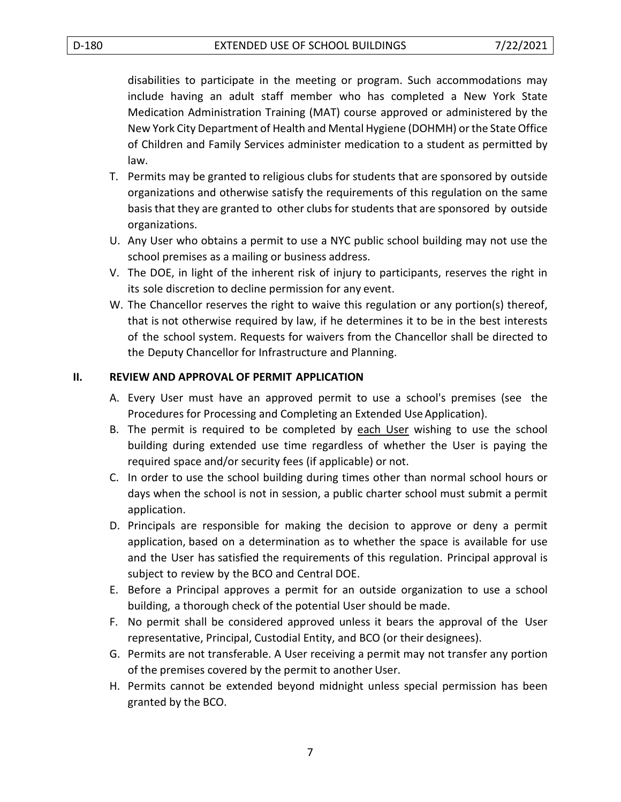disabilities to participate in the meeting or program. Such accommodations may include having an adult staff member who has completed a New York State Medication Administration Training (MAT) course approved or administered by the New York City Department of Health and Mental Hygiene (DOHMH) or the State Office of Children and Family Services administer medication to a student as permitted by law.

- T. Permits may be granted to religious clubs for students that are sponsored by outside organizations and otherwise satisfy the requirements of this regulation on the same basisthat they are granted to other clubs for students that are sponsored by outside organizations.
- U. Any User who obtains a permit to use a NYC public school building may not use the school premises as a mailing or business address.
- V. The DOE, in light of the inherent risk of injury to participants, reserves the right in its sole discretion to decline permission for any event.
- W. The Chancellor reserves the right to waive this regulation or any portion(s) thereof, that is not otherwise required by law, if he determines it to be in the best interests of the school system. Requests for waivers from the Chancellor shall be directed to the Deputy Chancellor for Infrastructure and Planning.

### **II. REVIEW AND APPROVAL OF PERMIT APPLICATION**

- A. Every User must have an approved permit to use a school's premises (see the Procedures for Processing and Completing an Extended Use Application).
- B. The permit is required to be completed by each User wishing to use the school building during extended use time regardless of whether the User is paying the required space and/or security fees (if applicable) or not.
- C. In order to use the school building during times other than normal school hours or days when the school is not in session, a public charter school must submit a permit application.
- D. Principals are responsible for making the decision to approve or deny a permit application, based on a determination as to whether the space is available for use and the User has satisfied the requirements of this regulation. Principal approval is subject to review by the BCO and Central DOE.
- E. Before a Principal approves a permit for an outside organization to use a school building, a thorough check of the potential User should be made.
- F. No permit shall be considered approved unless it bears the approval of the User representative, Principal, Custodial Entity, and BCO (or their designees).
- G. Permits are not transferable. A User receiving a permit may not transfer any portion of the premises covered by the permit to another User.
- H. Permits cannot be extended beyond midnight unless special permission has been granted by the BCO.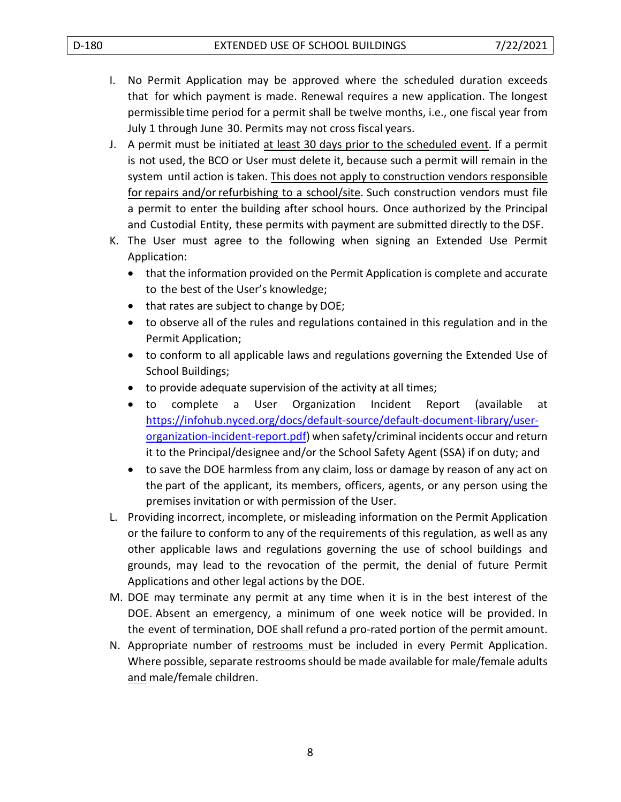- I. No Permit Application may be approved where the scheduled duration exceeds that for which payment is made. Renewal requires a new application. The longest permissible time period for a permit shall be twelve months, i.e., one fiscal year from July 1 through June 30. Permits may not cross fiscal years.
- J. A permit must be initiated at least 30 days prior to the scheduled event. If a permit is not used, the BCO or User must delete it, because such a permit will remain in the system until action is taken. This does not apply to construction vendors responsible for repairs and/or refurbishing to a school/site. Such construction vendors must file a permit to enter the building after school hours. Once authorized by the Principal and Custodial Entity, these permits with payment are submitted directly to the DSF.
- K. The User must agree to the following when signing an Extended Use Permit Application:
	- that the information provided on the Permit Application is complete and accurate to the best of the User's knowledge;
	- that rates are subject to change by DOE;
	- to observe all of the rules and regulations contained in this regulation and in the Permit Application;
	- to conform to all applicable laws and regulations governing the Extended Use of School Buildings;
	- to provide adequate supervision of the activity at all times;
	- to complete a User Organization Incident Report (available at [https://infohub.nyced.org/docs/default-source/default-document-library/user](https://infohub.nyced.org/docs/default-source/default-document-library/user-organization-incident-report.pdf)[organization-incident-report.pdf\)](https://infohub.nyced.org/docs/default-source/default-document-library/user-organization-incident-report.pdf) when safety/criminal incidents occur and return it to the Principal/designee and/or the School Safety Agent (SSA) if on duty; and
	- to save the DOE harmless from any claim, loss or damage by reason of any act on the part of the applicant, its members, officers, agents, or any person using the premises invitation or with permission of the User.
- L. Providing incorrect, incomplete, or misleading information on the Permit Application or the failure to conform to any of the requirements of this regulation, as well as any other applicable laws and regulations governing the use of school buildings and grounds, may lead to the revocation of the permit, the denial of future Permit Applications and other legal actions by the DOE.
- M. DOE may terminate any permit at any time when it is in the best interest of the DOE. Absent an emergency, a minimum of one week notice will be provided. In the event of termination, DOE shall refund a pro-rated portion of the permit amount.
- N. Appropriate number of restrooms must be included in every Permit Application. Where possible, separate restrooms should be made available for male/female adults and male/female children.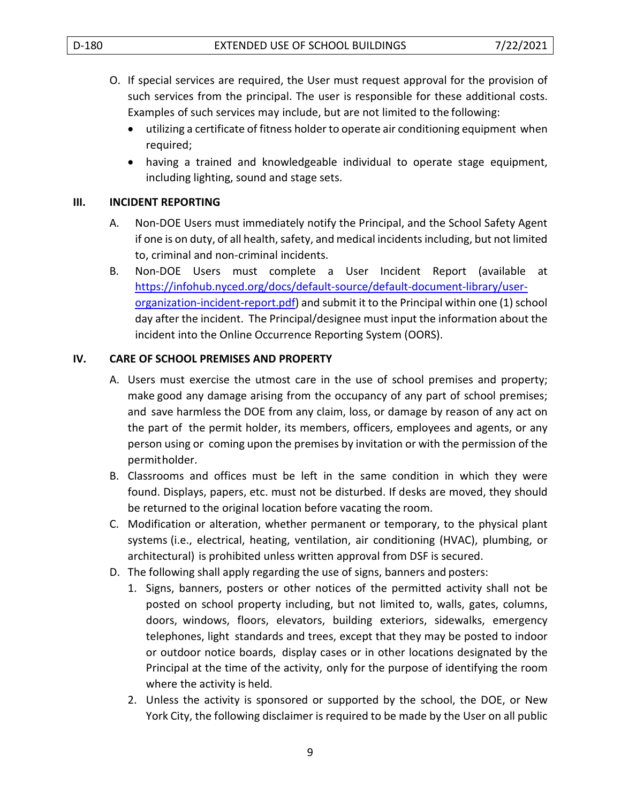- O. If special services are required, the User must request approval for the provision of such services from the principal. The user is responsible for these additional costs. Examples of such services may include, but are not limited to the following:
	- utilizing a certificate of fitness holder to operate air conditioning equipment when required;
	- having a trained and knowledgeable individual to operate stage equipment, including lighting, sound and stage sets.

### **III. INCIDENT REPORTING**

- A. Non-DOE Users must immediately notify the Principal, and the School Safety Agent if one is on duty, of all health, safety, and medical incidents including, but not limited to, criminal and non-criminal incidents.
- B. Non-DOE Users must complete a User Incident Report (available at [https://infohub.nyced.org/docs/default-source/default-document-library/user](https://infohub.nyced.org/docs/default-source/default-document-library/user-organization-incident-report.pdf)[organization-incident-report.pdf\)](https://infohub.nyced.org/docs/default-source/default-document-library/user-organization-incident-report.pdf) and submit it to the Principal within one (1) school day after the incident. The Principal/designee must input the information about the incident into the Online Occurrence Reporting System (OORS).

### **IV. CARE OF SCHOOL PREMISES AND PROPERTY**

- A. Users must exercise the utmost care in the use of school premises and property; make good any damage arising from the occupancy of any part of school premises; and save harmless the DOE from any claim, loss, or damage by reason of any act on the part of the permit holder, its members, officers, employees and agents, or any person using or coming upon the premises by invitation or with the permission of the permitholder.
- B. Classrooms and offices must be left in the same condition in which they were found. Displays, papers, etc. must not be disturbed. If desks are moved, they should be returned to the original location before vacating the room.
- C. Modification or alteration, whether permanent or temporary, to the physical plant systems (i.e., electrical, heating, ventilation, air conditioning (HVAC), plumbing, or architectural) is prohibited unless written approval from DSF is secured.
- D. The following shall apply regarding the use of signs, banners and posters:
	- 1. Signs, banners, posters or other notices of the permitted activity shall not be posted on school property including, but not limited to, walls, gates, columns, doors, windows, floors, elevators, building exteriors, sidewalks, emergency telephones, light standards and trees, except that they may be posted to indoor or outdoor notice boards, display cases or in other locations designated by the Principal at the time of the activity, only for the purpose of identifying the room where the activity is held.
	- 2. Unless the activity is sponsored or supported by the school, the DOE, or New York City, the following disclaimer is required to be made by the User on all public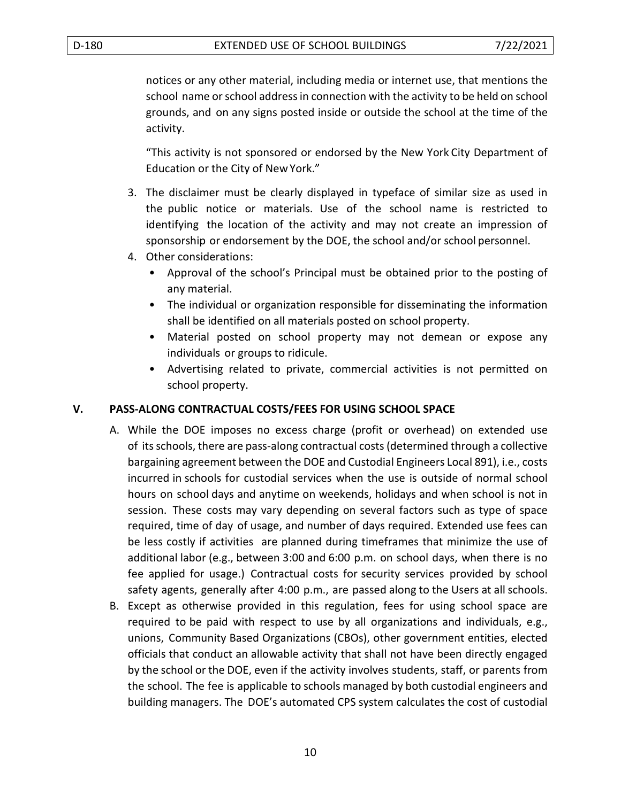notices or any other material, including media or internet use, that mentions the school name or school address in connection with the activity to be held on school grounds, and on any signs posted inside or outside the school at the time of the activity.

"This activity is not sponsored or endorsed by the New York City Department of Education or the City of NewYork."

- 3. The disclaimer must be clearly displayed in typeface of similar size as used in the public notice or materials. Use of the school name is restricted to identifying the location of the activity and may not create an impression of sponsorship or endorsement by the DOE, the school and/or school personnel.
- 4. Other considerations:
	- Approval of the school's Principal must be obtained prior to the posting of any material.
	- The individual or organization responsible for disseminating the information shall be identified on all materials posted on school property.
	- Material posted on school property may not demean or expose any individuals or groups to ridicule.
	- Advertising related to private, commercial activities is not permitted on school property.

### **V. PASS-ALONG CONTRACTUAL COSTS/FEES FOR USING SCHOOL SPACE**

- A. While the DOE imposes no excess charge (profit or overhead) on extended use of itsschools, there are pass-along contractual costs (determined through a collective bargaining agreement between the DOE and Custodial Engineers Local 891), i.e., costs incurred in schools for custodial services when the use is outside of normal school hours on school days and anytime on weekends, holidays and when school is not in session. These costs may vary depending on several factors such as type of space required, time of day of usage, and number of days required. Extended use fees can be less costly if activities are planned during timeframes that minimize the use of additional labor (e.g., between 3:00 and 6:00 p.m. on school days, when there is no fee applied for usage.) Contractual costs for security services provided by school safety agents, generally after 4:00 p.m., are passed along to the Users at all schools.
- B. Except as otherwise provided in this regulation, fees for using school space are required to be paid with respect to use by all organizations and individuals, e.g., unions, Community Based Organizations (CBOs), other government entities, elected officials that conduct an allowable activity that shall not have been directly engaged by the school or the DOE, even if the activity involves students, staff, or parents from the school. The fee is applicable to schools managed by both custodial engineers and building managers. The DOE's automated CPS system calculates the cost of custodial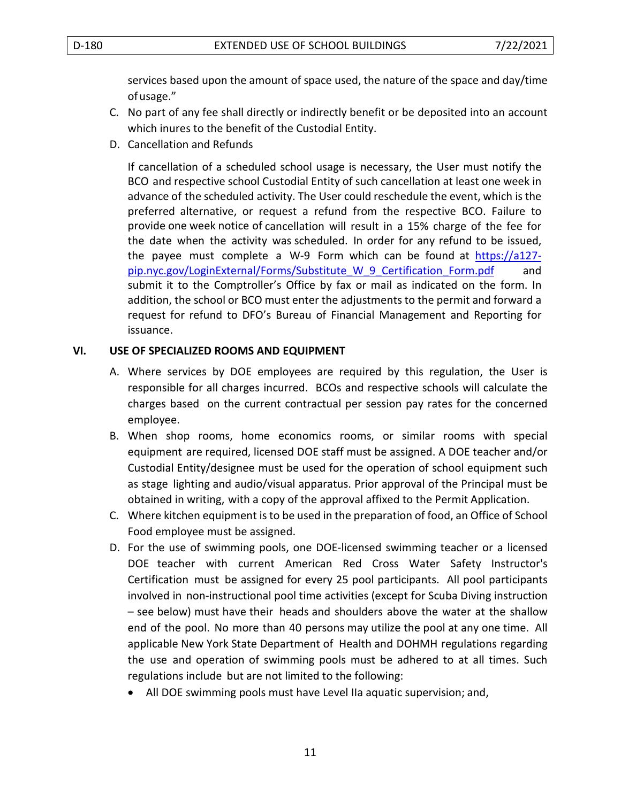services based upon the amount of space used, the nature of the space and day/time ofusage."

- C. No part of any fee shall directly or indirectly benefit or be deposited into an account which inures to the benefit of the Custodial Entity.
- D. Cancellation and Refunds

If cancellation of a scheduled school usage is necessary, the User must notify the BCO and respective school Custodial Entity of such cancellation at least one week in advance of the scheduled activity. The User could reschedule the event, which is the preferred alternative, or request a refund from the respective BCO. Failure to provide one week notice of cancellation will result in a 15% charge of the fee for the date when the activity was scheduled. In order for any refund to be issued, the payee must complete a W-9 Form which can be found at [https://a127](https://a127-pip.nyc.gov/LoginExternal/Forms/Substitute_W_9_Certification_Form.pdf) [pip.nyc.gov/LoginExternal/Forms/Substitute\\_W\\_9\\_Certification\\_Form.pdf](https://a127-pip.nyc.gov/LoginExternal/Forms/Substitute_W_9_Certification_Form.pdf) and submit it to the Comptroller's Office by fax or mail as indicated on the form. In addition, the school or BCO must enter the adjustments to the permit and forward a request for refund to DFO's Bureau of Financial Management and Reporting for issuance.

### **VI. USE OF SPECIALIZED ROOMS AND EQUIPMENT**

- A. Where services by DOE employees are required by this regulation, the User is responsible for all charges incurred. BCOs and respective schools will calculate the charges based on the current contractual per session pay rates for the concerned employee.
- B. When shop rooms, home economics rooms, or similar rooms with special equipment are required, licensed DOE staff must be assigned. A DOE teacher and/or Custodial Entity/designee must be used for the operation of school equipment such as stage lighting and audio/visual apparatus. Prior approval of the Principal must be obtained in writing, with a copy of the approval affixed to the Permit Application.
- C. Where kitchen equipment is to be used in the preparation of food, an Office of School Food employee must be assigned.
- D. For the use of swimming pools, one DOE-licensed swimming teacher or a licensed DOE teacher with current American Red Cross Water Safety Instructor's Certification must be assigned for every 25 pool participants. All pool participants involved in non-instructional pool time activities (except for Scuba Diving instruction – see below) must have their heads and shoulders above the water at the shallow end of the pool. No more than 40 persons may utilize the pool at any one time. All applicable New York State Department of Health and DOHMH regulations regarding the use and operation of swimming pools must be adhered to at all times. Such regulations include but are not limited to the following:
	- All DOE swimming pools must have Level IIa aquatic supervision; and,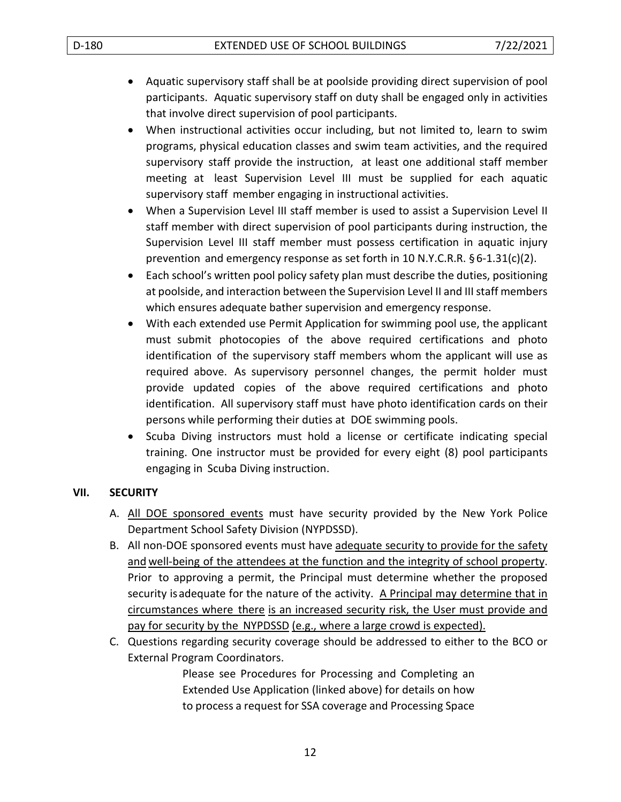- Aquatic supervisory staff shall be at poolside providing direct supervision of pool participants. Aquatic supervisory staff on duty shall be engaged only in activities that involve direct supervision of pool participants.
- When instructional activities occur including, but not limited to, learn to swim programs, physical education classes and swim team activities, and the required supervisory staff provide the instruction, at least one additional staff member meeting at least Supervision Level III must be supplied for each aquatic supervisory staff member engaging in instructional activities.
- When a Supervision Level III staff member is used to assist a Supervision Level II staff member with direct supervision of pool participants during instruction, the Supervision Level III staff member must possess certification in aquatic injury prevention and emergency response as set forth in 10 N.Y.C.R.R.  $\S 6-1.31(c)(2)$ .
- Each school's written pool policy safety plan must describe the duties, positioning at poolside, and interaction between the Supervision Level II and III staff members which ensures adequate bather supervision and emergency response.
- With each extended use Permit Application for swimming pool use, the applicant must submit photocopies of the above required certifications and photo identification of the supervisory staff members whom the applicant will use as required above. As supervisory personnel changes, the permit holder must provide updated copies of the above required certifications and photo identification. All supervisory staff must have photo identification cards on their persons while performing their duties at DOE swimming pools.
- Scuba Diving instructors must hold a license or certificate indicating special training. One instructor must be provided for every eight (8) pool participants engaging in Scuba Diving instruction.

### **VII. SECURITY**

- A. All DOE sponsored events must have security provided by the New York Police Department School Safety Division (NYPDSSD).
- B. All non-DOE sponsored events must have adequate security to provide for the safety and well-being of the attendees at the function and the integrity of school property. Prior to approving a permit, the Principal must determine whether the proposed security is adequate for the nature of the activity. A Principal may determine that in circumstances where there is an increased security risk, the User must provide and pay for security by the NYPDSSD (e.g., where a large crowd is expected).
- C. Questions regarding security coverage should be addressed to either to the BCO or External Program Coordinators.

Please see Procedures for Processing and Completing an Extended Use Application (linked above) for details on how to process a request for SSA coverage and Processing Space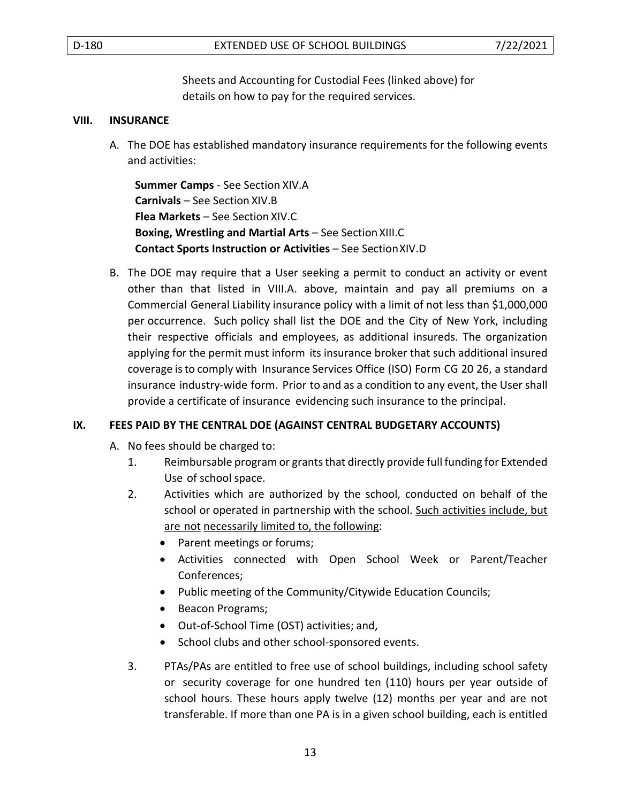Sheets and Accounting for Custodial Fees (linked above) for details on how to pay for the required services.

#### **VIII. INSURANCE**

A. The DOE has established mandatory insurance requirements for the following events and activities:

**Summer Camps** - See Section XIV.A **Carnivals** – See Section XIV.B **Flea Markets** – See Section XIV.C **Boxing, Wrestling and Martial Arts - See Section XIII.C Contact Sports Instruction or Activities** – See SectionXIV.D

B. The DOE may require that a User seeking a permit to conduct an activity or event other than that listed in VIII.A. above, maintain and pay all premiums on a Commercial General Liability insurance policy with a limit of not less than \$1,000,000 per occurrence. Such policy shall list the DOE and the City of New York, including their respective officials and employees, as additional insureds. The organization applying for the permit must inform its insurance broker that such additional insured coverage is to comply with Insurance Services Office (ISO) Form CG 20 26, a standard insurance industry-wide form. Prior to and as a condition to any event, the User shall provide a certificate of insurance evidencing such insurance to the principal.

### **IX. FEES PAID BY THE CENTRAL DOE (AGAINST CENTRAL BUDGETARY ACCOUNTS)**

- A. No fees should be charged to:
	- 1. Reimbursable program or grants that directly provide full funding for Extended Use of school space.
	- 2. Activities which are authorized by the school, conducted on behalf of the school or operated in partnership with the school. Such activities include, but are not necessarily limited to, the following:
		- Parent meetings or forums;
		- Activities connected with Open School Week or Parent/Teacher Conferences;
		- Public meeting of the Community/Citywide Education Councils;
		- Beacon Programs;
		- Out-of-School Time (OST) activities; and,
		- School clubs and other school-sponsored events.
	- 3. PTAs/PAs are entitled to free use of school buildings, including school safety or security coverage for one hundred ten (110) hours per year outside of school hours. These hours apply twelve (12) months per year and are not transferable. If more than one PA is in a given school building, each is entitled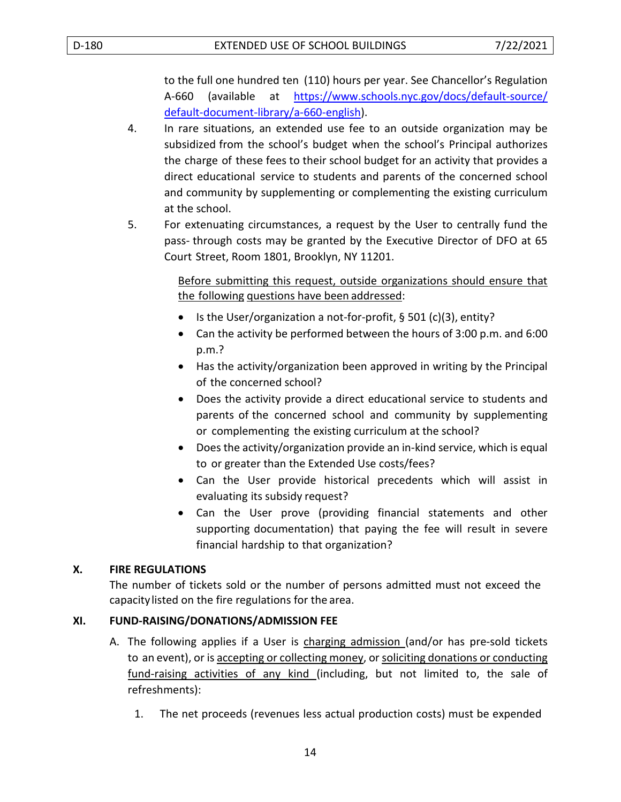to the full one hundred ten (110) hours per year. See Chancellor's Regulation A-660 (available at [https://www.schools.nyc.gov/docs/default-source/](https://www.schools.nyc.gov/docs/default-source/default-document-library/a-660-english) [default-document-library/a-660-english\)](https://www.schools.nyc.gov/docs/default-source/default-document-library/a-660-english).

- 4. In rare situations, an extended use fee to an outside organization may be subsidized from the school's budget when the school's Principal authorizes the charge of these fees to their school budget for an activity that provides a direct educational service to students and parents of the concerned school and community by supplementing or complementing the existing curriculum at the school.
- 5. For extenuating circumstances, a request by the User to centrally fund the pass- through costs may be granted by the Executive Director of DFO at 65 Court Street, Room 1801, Brooklyn, NY 11201.

Before submitting this request, outside organizations should ensure that the following questions have been addressed:

- Is the User/organization a not-for-profit, § 501 (c)(3), entity?
- Can the activity be performed between the hours of 3:00 p.m. and 6:00 p.m.?
- Has the activity/organization been approved in writing by the Principal of the concerned school?
- Does the activity provide a direct educational service to students and parents of the concerned school and community by supplementing or complementing the existing curriculum at the school?
- Does the activity/organization provide an in-kind service, which is equal to or greater than the Extended Use costs/fees?
- Can the User provide historical precedents which will assist in evaluating its subsidy request?
- Can the User prove (providing financial statements and other supporting documentation) that paying the fee will result in severe financial hardship to that organization?

### **X. FIRE REGULATIONS**

The number of tickets sold or the number of persons admitted must not exceed the capacitylisted on the fire regulations for the area.

## **XI. FUND-RAISING/DONATIONS/ADMISSION FEE**

- A. The following applies if a User is charging admission (and/or has pre-sold tickets to an event), or is accepting or collecting money, or soliciting donations or conducting fund-raising activities of any kind (including, but not limited to, the sale of refreshments):
	- 1. The net proceeds (revenues less actual production costs) must be expended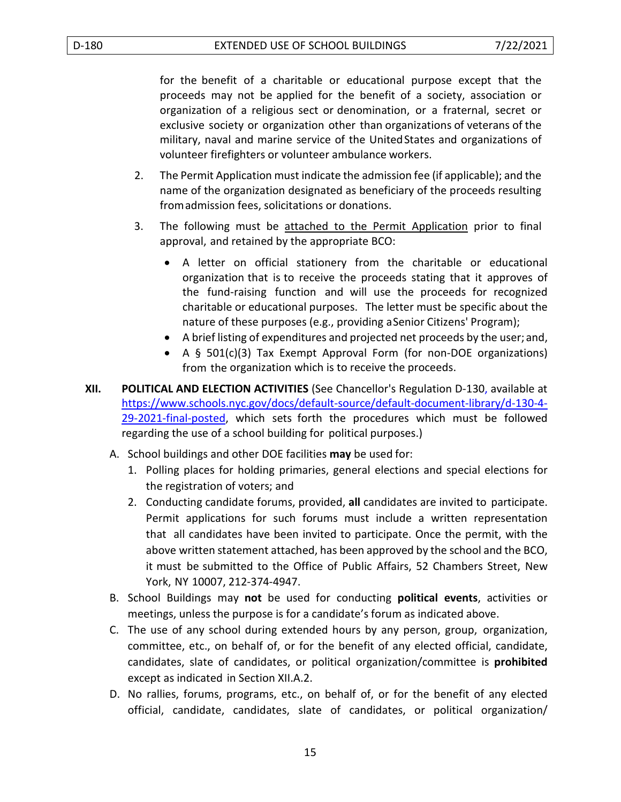for the benefit of a charitable or educational purpose except that the proceeds may not be applied for the benefit of a society, association or organization of a religious sect or denomination, or a fraternal, secret or exclusive society or organization other than organizations of veterans of the military, naval and marine service of the UnitedStates and organizations of volunteer firefighters or volunteer ambulance workers.

- 2. The Permit Application must indicate the admission fee (if applicable); and the name of the organization designated as beneficiary of the proceeds resulting fromadmission fees, solicitations or donations.
- 3. The following must be attached to the Permit Application prior to final approval, and retained by the appropriate BCO:
	- A letter on official stationery from the charitable or educational organization that is to receive the proceeds stating that it approves of the fund-raising function and will use the proceeds for recognized charitable or educational purposes. The letter must be specific about the nature of these purposes (e.g., providing aSenior Citizens' Program);
	- A brief listing of expenditures and projected net proceeds by the user; and,
	- A § 501(c)(3) Tax Exempt Approval Form (for non-DOE organizations) from the organization which is to receive the proceeds.
- **XII. POLITICAL AND ELECTION ACTIVITIES** (See Chancellor's Regulation D-130, available at [https://www.schools.nyc.gov/docs/default-source/default-document-library/d-130-4-](https://www.schools.nyc.gov/docs/default-source/default-document-library/d-130-4-29-2021-final-posted) [29-2021-final-posted,](https://www.schools.nyc.gov/docs/default-source/default-document-library/d-130-4-29-2021-final-posted) which sets forth the procedures which must be followed regarding the use of a school building for political purposes.)
	- A. School buildings and other DOE facilities **may** be used for:
		- 1. Polling places for holding primaries, general elections and special elections for the registration of voters; and
		- 2. Conducting candidate forums, provided, **all** candidates are invited to participate. Permit applications for such forums must include a written representation that all candidates have been invited to participate. Once the permit, with the above written statement attached, has been approved by the school and the BCO, it must be submitted to the Office of Public Affairs, 52 Chambers Street, New York, NY 10007, 212-374-4947.
	- B. School Buildings may **not** be used for conducting **political events**, activities or meetings, unless the purpose is for a candidate's forum as indicated above.
	- C. The use of any school during extended hours by any person, group, organization, committee, etc., on behalf of, or for the benefit of any elected official, candidate, candidates, slate of candidates, or political organization/committee is **prohibited**  except as indicated in Section XII.A.2.
	- D. No rallies, forums, programs, etc., on behalf of, or for the benefit of any elected official, candidate, candidates, slate of candidates, or political organization/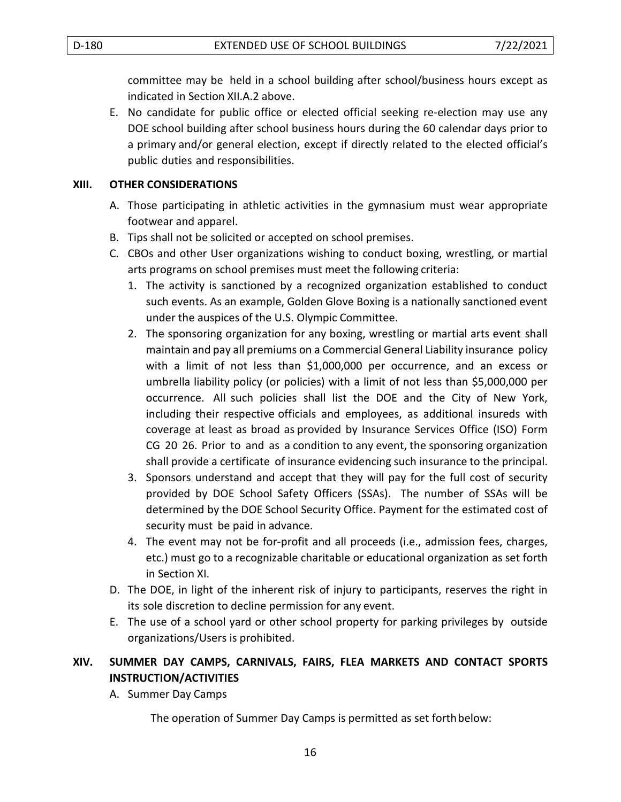committee may be held in a school building after school/business hours except as indicated in Section XII.A.2 above.

E. No candidate for public office or elected official seeking re-election may use any DOE school building after school business hours during the 60 calendar days prior to a primary and/or general election, except if directly related to the elected official's public duties and responsibilities.

### **XIII. OTHER CONSIDERATIONS**

- A. Those participating in athletic activities in the gymnasium must wear appropriate footwear and apparel.
- B. Tips shall not be solicited or accepted on school premises.
- C. CBOs and other User organizations wishing to conduct boxing, wrestling, or martial arts programs on school premises must meet the following criteria:
	- 1. The activity is sanctioned by a recognized organization established to conduct such events. As an example, Golden Glove Boxing is a nationally sanctioned event under the auspices of the U.S. Olympic Committee.
	- 2. The sponsoring organization for any boxing, wrestling or martial arts event shall maintain and pay all premiums on a Commercial General Liability insurance policy with a limit of not less than \$1,000,000 per occurrence, and an excess or umbrella liability policy (or policies) with a limit of not less than \$5,000,000 per occurrence. All such policies shall list the DOE and the City of New York, including their respective officials and employees, as additional insureds with coverage at least as broad as provided by Insurance Services Office (ISO) Form CG 20 26. Prior to and as a condition to any event, the sponsoring organization shall provide a certificate of insurance evidencing such insurance to the principal.
	- 3. Sponsors understand and accept that they will pay for the full cost of security provided by DOE School Safety Officers (SSAs). The number of SSAs will be determined by the DOE School Security Office. Payment for the estimated cost of security must be paid in advance.
	- 4. The event may not be for-profit and all proceeds (i.e., admission fees, charges, etc.) must go to a recognizable charitable or educational organization as set forth in Section XI.
- D. The DOE, in light of the inherent risk of injury to participants, reserves the right in its sole discretion to decline permission for any event.
- E. The use of a school yard or other school property for parking privileges by outside organizations/Users is prohibited.

## **XIV. SUMMER DAY CAMPS, CARNIVALS, FAIRS, FLEA MARKETS AND CONTACT SPORTS INSTRUCTION/ACTIVITIES**

A. Summer Day Camps

The operation of Summer Day Camps is permitted as set forthbelow: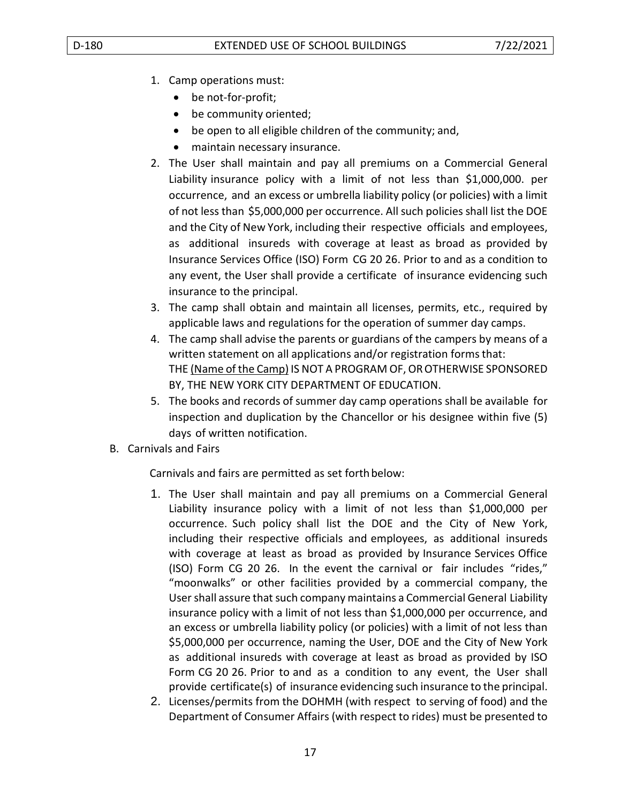- 1. Camp operations must:
	- be not-for-profit;
	- be community oriented;
	- be open to all eligible children of the community; and,
	- maintain necessary insurance.
- 2. The User shall maintain and pay all premiums on a Commercial General Liability insurance policy with a limit of not less than \$1,000,000. per occurrence, and an excess or umbrella liability policy (or policies) with a limit of not less than \$5,000,000 per occurrence. All such policies shall list the DOE and the City of New York, including their respective officials and employees, as additional insureds with coverage at least as broad as provided by Insurance Services Office (ISO) Form CG 20 26. Prior to and as a condition to any event, the User shall provide a certificate of insurance evidencing such insurance to the principal.
- 3. The camp shall obtain and maintain all licenses, permits, etc., required by applicable laws and regulations for the operation of summer day camps.
- 4. The camp shall advise the parents or guardians of the campers by means of a written statement on all applications and/or registration forms that: THE (Name of the Camp) IS NOT A PROGRAM OF, OR OTHERWISE SPONSORED BY, THE NEW YORK CITY DEPARTMENT OF EDUCATION.
- 5. The books and records of summer day camp operations shall be available for inspection and duplication by the Chancellor or his designee within five (5) days of written notification.
- B. Carnivals and Fairs

Carnivals and fairs are permitted as set forth below:

- 1. The User shall maintain and pay all premiums on a Commercial General Liability insurance policy with a limit of not less than \$1,000,000 per occurrence. Such policy shall list the DOE and the City of New York, including their respective officials and employees, as additional insureds with coverage at least as broad as provided by Insurance Services Office (ISO) Form CG 20 26. In the event the carnival or fair includes "rides," "moonwalks" or other facilities provided by a commercial company, the User shall assure that such company maintains a Commercial General Liability insurance policy with a limit of not less than \$1,000,000 per occurrence, and an excess or umbrella liability policy (or policies) with a limit of not less than \$5,000,000 per occurrence, naming the User, DOE and the City of New York as additional insureds with coverage at least as broad as provided by ISO Form CG 20 26. Prior to and as a condition to any event, the User shall provide certificate(s) of insurance evidencing such insurance to the principal.
- 2. Licenses/permits from the DOHMH (with respect to serving of food) and the Department of Consumer Affairs (with respect to rides) must be presented to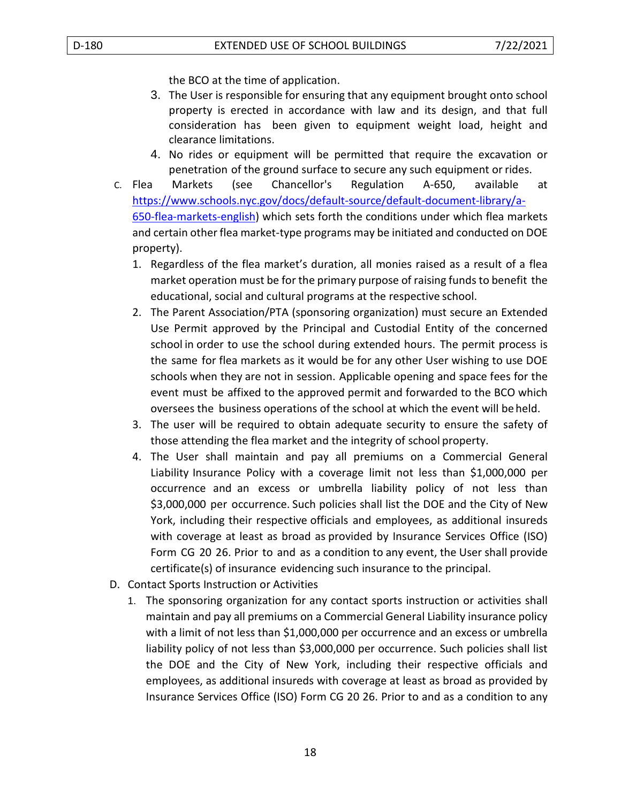the BCO at the time of application.

- 3. The User is responsible for ensuring that any equipment brought onto school property is erected in accordance with law and its design, and that full consideration has been given to equipment weight load, height and clearance limitations.
- 4. No rides or equipment will be permitted that require the excavation or penetration of the ground surface to secure any such equipment or rides.
- C. Flea Markets (see Chancellor's Regulation A-650, available at [https://www.schools.nyc.gov/docs/default-source/default-document-library/a-](https://www.schools.nyc.gov/docs/default-source/default-document-library/a-650-flea-markets-english)[650-flea-markets-english\)](https://www.schools.nyc.gov/docs/default-source/default-document-library/a-650-flea-markets-english) which sets forth the conditions under which flea markets and certain other flea market-type programs may be initiated and conducted on DOE property).
	- 1. Regardless of the flea market's duration, all monies raised as a result of a flea market operation must be for the primary purpose of raising funds to benefit the educational, social and cultural programs at the respective school.
	- 2. The Parent Association/PTA (sponsoring organization) must secure an Extended Use Permit approved by the Principal and Custodial Entity of the concerned school in order to use the school during extended hours. The permit process is the same for flea markets as it would be for any other User wishing to use DOE schools when they are not in session. Applicable opening and space fees for the event must be affixed to the approved permit and forwarded to the BCO which oversees the business operations of the school at which the event will be held.
	- 3. The user will be required to obtain adequate security to ensure the safety of those attending the flea market and the integrity of school property.
	- 4. The User shall maintain and pay all premiums on a Commercial General Liability Insurance Policy with a coverage limit not less than \$1,000,000 per occurrence and an excess or umbrella liability policy of not less than \$3,000,000 per occurrence. Such policies shall list the DOE and the City of New York, including their respective officials and employees, as additional insureds with coverage at least as broad as provided by Insurance Services Office (ISO) Form CG 20 26. Prior to and as a condition to any event, the User shall provide certificate(s) of insurance evidencing such insurance to the principal.
- D. Contact Sports Instruction or Activities
	- 1. The sponsoring organization for any contact sports instruction or activities shall maintain and pay all premiums on a Commercial General Liability insurance policy with a limit of not less than \$1,000,000 per occurrence and an excess or umbrella liability policy of not less than \$3,000,000 per occurrence. Such policies shall list the DOE and the City of New York, including their respective officials and employees, as additional insureds with coverage at least as broad as provided by Insurance Services Office (ISO) Form CG 20 26. Prior to and as a condition to any